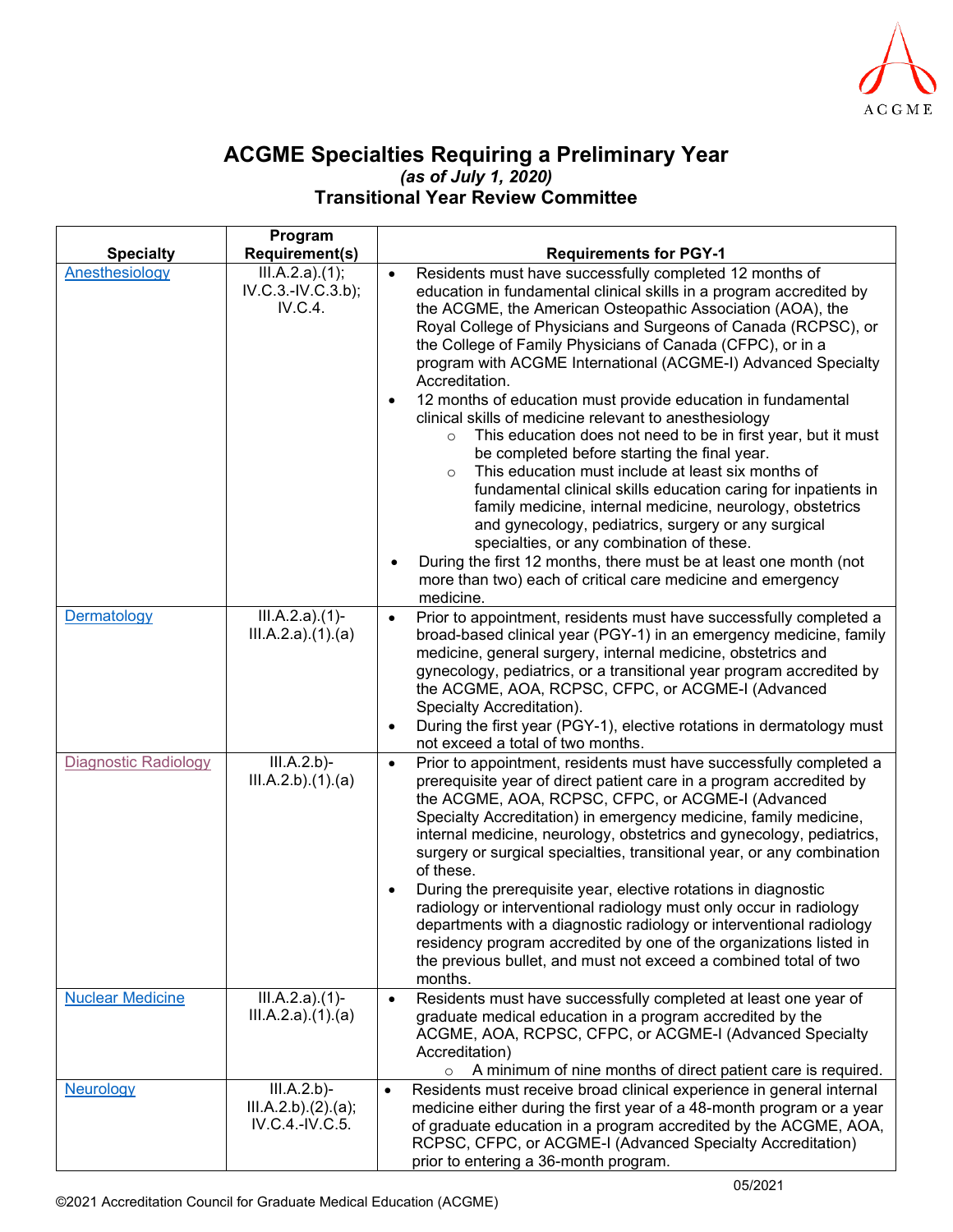

## **ACGME Specialties Requiring a Preliminary Year** *(as of July 1, 2020)* **Transitional Year Review Committee**

|                             | Program                                            |                                                                                                                                                                                                                                                                                                                                                                                                                                                                                                                                                                                                                                                                                                         |
|-----------------------------|----------------------------------------------------|---------------------------------------------------------------------------------------------------------------------------------------------------------------------------------------------------------------------------------------------------------------------------------------------------------------------------------------------------------------------------------------------------------------------------------------------------------------------------------------------------------------------------------------------------------------------------------------------------------------------------------------------------------------------------------------------------------|
| <b>Specialty</b>            | <b>Requirement(s)</b>                              | <b>Requirements for PGY-1</b>                                                                                                                                                                                                                                                                                                                                                                                                                                                                                                                                                                                                                                                                           |
| Anesthesiology              | III.A.2.a)(1);<br>IV.C.3.-IV.C.3.b);<br>IV.C.4.    | Residents must have successfully completed 12 months of<br>$\bullet$<br>education in fundamental clinical skills in a program accredited by<br>the ACGME, the American Osteopathic Association (AOA), the<br>Royal College of Physicians and Surgeons of Canada (RCPSC), or<br>the College of Family Physicians of Canada (CFPC), or in a<br>program with ACGME International (ACGME-I) Advanced Specialty<br>Accreditation.                                                                                                                                                                                                                                                                            |
|                             |                                                    | 12 months of education must provide education in fundamental<br>clinical skills of medicine relevant to anesthesiology<br>This education does not need to be in first year, but it must<br>$\circ$<br>be completed before starting the final year.<br>This education must include at least six months of<br>$\circ$<br>fundamental clinical skills education caring for inpatients in<br>family medicine, internal medicine, neurology, obstetrics<br>and gynecology, pediatrics, surgery or any surgical<br>specialties, or any combination of these.<br>During the first 12 months, there must be at least one month (not<br>more than two) each of critical care medicine and emergency<br>medicine. |
| Dermatology                 | $III.A.2.a)(1)$ -<br>III.A.2.a)(1).(a)             | Prior to appointment, residents must have successfully completed a<br>$\bullet$<br>broad-based clinical year (PGY-1) in an emergency medicine, family<br>medicine, general surgery, internal medicine, obstetrics and<br>gynecology, pediatrics, or a transitional year program accredited by<br>the ACGME, AOA, RCPSC, CFPC, or ACGME-I (Advanced<br>Specialty Accreditation).<br>During the first year (PGY-1), elective rotations in dermatology must                                                                                                                                                                                                                                                |
|                             |                                                    | not exceed a total of two months.                                                                                                                                                                                                                                                                                                                                                                                                                                                                                                                                                                                                                                                                       |
| <b>Diagnostic Radiology</b> | III.A.2.b<br>III.A.2.b)(1).(a)                     | Prior to appointment, residents must have successfully completed a<br>$\bullet$<br>prerequisite year of direct patient care in a program accredited by<br>the ACGME, AOA, RCPSC, CFPC, or ACGME-I (Advanced<br>Specialty Accreditation) in emergency medicine, family medicine,<br>internal medicine, neurology, obstetrics and gynecology, pediatrics,<br>surgery or surgical specialties, transitional year, or any combination<br>of these.<br>During the prerequisite year, elective rotations in diagnostic                                                                                                                                                                                        |
|                             |                                                    | radiology or interventional radiology must only occur in radiology<br>departments with a diagnostic radiology or interventional radiology<br>residency program accredited by one of the organizations listed in<br>the previous bullet, and must not exceed a combined total of two<br>months.                                                                                                                                                                                                                                                                                                                                                                                                          |
| <b>Nuclear Medicine</b>     | $III.A.2.a)(1)$ -<br>III.A.2.a)(1).(a)             | Residents must have successfully completed at least one year of<br>$\bullet$<br>graduate medical education in a program accredited by the<br>ACGME, AOA, RCPSC, CFPC, or ACGME-I (Advanced Specialty<br>Accreditation)<br>A minimum of nine months of direct patient care is required.<br>$\circ$                                                                                                                                                                                                                                                                                                                                                                                                       |
| Neurology                   | III.A.2.b<br>III.A.2.b)(2).(a);<br>IV.C.4.-IV.C.5. | Residents must receive broad clinical experience in general internal<br>medicine either during the first year of a 48-month program or a year<br>of graduate education in a program accredited by the ACGME, AOA,<br>RCPSC, CFPC, or ACGME-I (Advanced Specialty Accreditation)<br>prior to entering a 36-month program.                                                                                                                                                                                                                                                                                                                                                                                |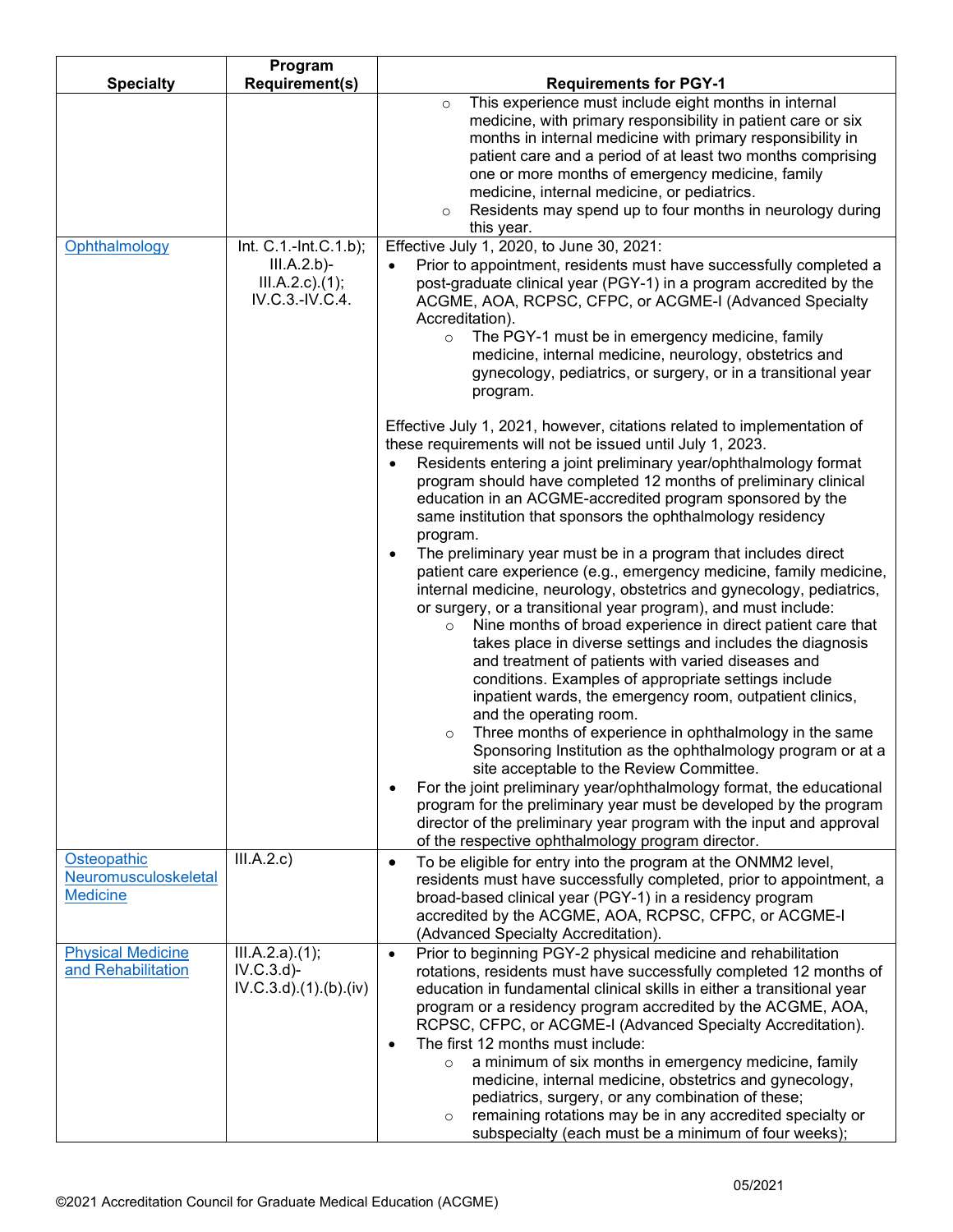|                          | Program                    |                                                                                                                                            |
|--------------------------|----------------------------|--------------------------------------------------------------------------------------------------------------------------------------------|
| <b>Specialty</b>         | <b>Requirement(s)</b>      | <b>Requirements for PGY-1</b>                                                                                                              |
|                          |                            | This experience must include eight months in internal<br>$\circ$                                                                           |
|                          |                            | medicine, with primary responsibility in patient care or six                                                                               |
|                          |                            | months in internal medicine with primary responsibility in                                                                                 |
|                          |                            | patient care and a period of at least two months comprising                                                                                |
|                          |                            | one or more months of emergency medicine, family<br>medicine, internal medicine, or pediatrics.                                            |
|                          |                            | Residents may spend up to four months in neurology during<br>$\circ$                                                                       |
|                          |                            | this year.                                                                                                                                 |
| Ophthalmology            | Int. C.1.-Int.C.1.b);      | Effective July 1, 2020, to June 30, 2021:                                                                                                  |
|                          | III.A.2.b                  | Prior to appointment, residents must have successfully completed a<br>$\bullet$                                                            |
|                          | $III.A.2.c$ ). $(1);$      | post-graduate clinical year (PGY-1) in a program accredited by the                                                                         |
|                          | IV.C.3.-IV.C.4.            | ACGME, AOA, RCPSC, CFPC, or ACGME-I (Advanced Specialty                                                                                    |
|                          |                            | Accreditation).                                                                                                                            |
|                          |                            | The PGY-1 must be in emergency medicine, family<br>$\circ$                                                                                 |
|                          |                            | medicine, internal medicine, neurology, obstetrics and                                                                                     |
|                          |                            | gynecology, pediatrics, or surgery, or in a transitional year                                                                              |
|                          |                            | program.                                                                                                                                   |
|                          |                            |                                                                                                                                            |
|                          |                            | Effective July 1, 2021, however, citations related to implementation of                                                                    |
|                          |                            | these requirements will not be issued until July 1, 2023.<br>Residents entering a joint preliminary year/ophthalmology format<br>$\bullet$ |
|                          |                            | program should have completed 12 months of preliminary clinical                                                                            |
|                          |                            | education in an ACGME-accredited program sponsored by the                                                                                  |
|                          |                            | same institution that sponsors the ophthalmology residency                                                                                 |
|                          |                            | program.                                                                                                                                   |
|                          |                            | The preliminary year must be in a program that includes direct<br>$\bullet$                                                                |
|                          |                            | patient care experience (e.g., emergency medicine, family medicine,                                                                        |
|                          |                            | internal medicine, neurology, obstetrics and gynecology, pediatrics,                                                                       |
|                          |                            | or surgery, or a transitional year program), and must include:                                                                             |
|                          |                            | Nine months of broad experience in direct patient care that<br>$\circ$                                                                     |
|                          |                            | takes place in diverse settings and includes the diagnosis                                                                                 |
|                          |                            | and treatment of patients with varied diseases and                                                                                         |
|                          |                            | conditions. Examples of appropriate settings include                                                                                       |
|                          |                            | inpatient wards, the emergency room, outpatient clinics,                                                                                   |
|                          |                            | and the operating room.<br>Three months of experience in ophthalmology in the same<br>$\circ$                                              |
|                          |                            | Sponsoring Institution as the ophthalmology program or at a                                                                                |
|                          |                            | site acceptable to the Review Committee.                                                                                                   |
|                          |                            | For the joint preliminary year/ophthalmology format, the educational                                                                       |
|                          |                            | program for the preliminary year must be developed by the program                                                                          |
|                          |                            | director of the preliminary year program with the input and approval                                                                       |
|                          |                            | of the respective ophthalmology program director.                                                                                          |
| Osteopathic              | III.A.2.c)                 | To be eligible for entry into the program at the ONMM2 level,<br>$\bullet$                                                                 |
| Neuromusculoskeletal     |                            | residents must have successfully completed, prior to appointment, a                                                                        |
| <b>Medicine</b>          |                            | broad-based clinical year (PGY-1) in a residency program                                                                                   |
|                          |                            | accredited by the ACGME, AOA, RCPSC, CFPC, or ACGME-I                                                                                      |
|                          |                            | (Advanced Specialty Accreditation).                                                                                                        |
| <b>Physical Medicine</b> | III.A.2.a)(1);             | Prior to beginning PGY-2 physical medicine and rehabilitation<br>$\bullet$                                                                 |
| and Rehabilitation       | IV.C.3.d                   | rotations, residents must have successfully completed 12 months of                                                                         |
|                          | $IV.C.3.d$ $.(1).(b).(iv)$ | education in fundamental clinical skills in either a transitional year                                                                     |
|                          |                            | program or a residency program accredited by the ACGME, AOA,<br>RCPSC, CFPC, or ACGME-I (Advanced Specialty Accreditation).                |
|                          |                            | The first 12 months must include:                                                                                                          |
|                          |                            | a minimum of six months in emergency medicine, family<br>$\Omega$                                                                          |
|                          |                            | medicine, internal medicine, obstetrics and gynecology,                                                                                    |
|                          |                            | pediatrics, surgery, or any combination of these;                                                                                          |
|                          |                            | remaining rotations may be in any accredited specialty or<br>$\circ$                                                                       |
|                          |                            | subspecialty (each must be a minimum of four weeks);                                                                                       |